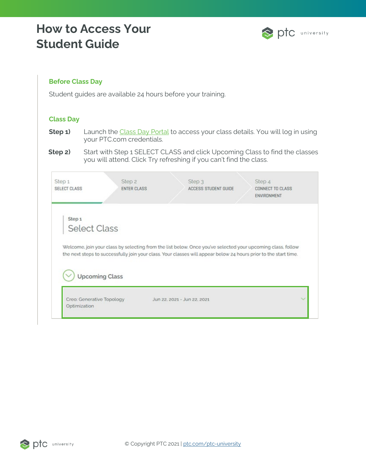### **How to Access Your Student Guide**



### **Before Class Day**

Student guides are available 24 hours before your training.

#### **Class Day**

- **Step 1)** Launch the [Class Day Portal](https://class.ptcu.com/) to access your class details. You will log in using your PTC.com credentials.
- **Step 2)** Start with Step 1 SELECT CLASS and click Upcoming Class to find the classes you will attend. Click Try refreshing if you can't find the class.

| Step <sub>1</sub><br><b>SELECT CLASS</b> | Step <sub>2</sub><br><b>ENTER CLASS</b> | Step 3<br>ACCESS STUDENT GUIDE | Step 4<br><b>CONNECT TO CLASS</b><br>ENVIRONMENT                                                                                                                                                                                |
|------------------------------------------|-----------------------------------------|--------------------------------|---------------------------------------------------------------------------------------------------------------------------------------------------------------------------------------------------------------------------------|
| Step <sub>1</sub>                        |                                         |                                |                                                                                                                                                                                                                                 |
| <b>Select Class</b>                      |                                         |                                |                                                                                                                                                                                                                                 |
|                                          |                                         |                                |                                                                                                                                                                                                                                 |
|                                          |                                         |                                | Welcome, join your class by selecting from the list below. Once you've selected your upcoming class, follow<br>the next steps to successfully join your class. Your classes will appear below 24 hours prior to the start time. |
|                                          | <b>Upcoming Class</b>                   |                                |                                                                                                                                                                                                                                 |

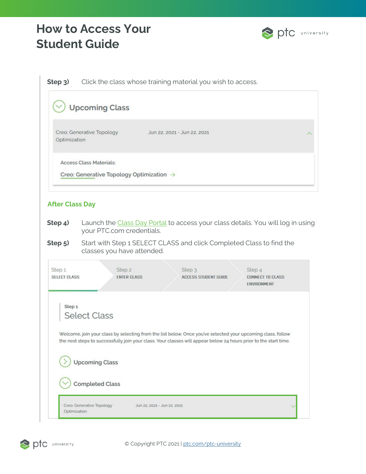# **How to Access Your Student Guide**



**Step 3)** Click the class whose training material you wish to access.

|                               | <b>Upcoming Class</b>                                                                                                                                                                                                           |
|-------------------------------|---------------------------------------------------------------------------------------------------------------------------------------------------------------------------------------------------------------------------------|
| Optimization                  | Creo: Generative Topology<br>Jun 22, 2021 - Jun 22, 2021                                                                                                                                                                        |
|                               | <b>Access Class Materials:</b><br>Creo: Generative Topology Optimization $\rightarrow$                                                                                                                                          |
| <b>After Class Day</b>        |                                                                                                                                                                                                                                 |
| Step 4)                       | Launch the Class Day Portal to access your class details. You will log in using<br>your PTC.com credentials.                                                                                                                    |
| Step 5)                       | Start with Step 1 SELECT CLASS and click Completed Class to find the<br>classes you have attended.                                                                                                                              |
| Step 1<br><b>SELECT CLASS</b> | Step <sub>2</sub><br>Step <sub>3</sub><br>Step 4<br><b>ENTER CLASS</b><br><b>ACCESS STUDENT GUIDE</b><br><b>CONNECT TO CLASS</b><br>ENVIRONMENT                                                                                 |
| Step <sub>1</sub>             | <b>Select Class</b>                                                                                                                                                                                                             |
|                               | Welcome, join your class by selecting from the list below. Once you've selected your upcoming class, follow<br>the next steps to successfully join your class. Your classes will appear below 24 hours prior to the start time. |
|                               | <b>Upcoming Class</b>                                                                                                                                                                                                           |
|                               | <b>Completed Class</b>                                                                                                                                                                                                          |
| Optimization                  | Creo: Generative Topology<br>Jun 22, 2021 - Jun 22, 2021                                                                                                                                                                        |